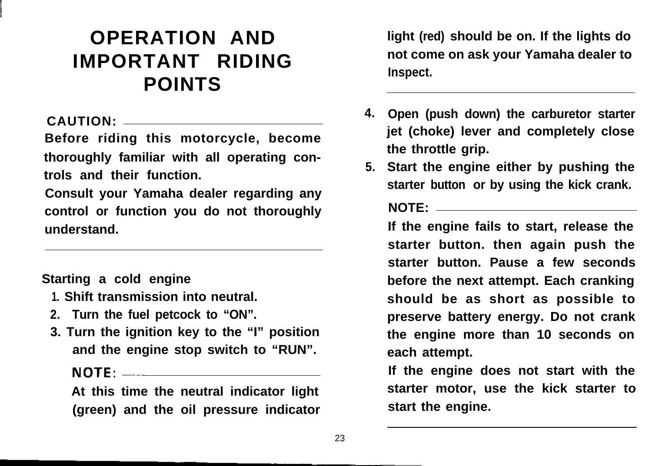# **OPERATION AND IMPORTANT RIDING POINTS**

## **CAUTION:**

**Before riding this motorcycle, become thoroughly familiar with all operating controls and their function.**

**Consult your Yamaha dealer regarding any control or function you do not thoroughly understand.**

**Starting a cold engine**

- **1. Shift transmission into neutral.**
- **2. Turn the fuel petcock to "ON".**
- **3. Turn the ignition key to the "I" position and the engine stop switch to "RUN".**

## NOTE: \_\_\_\_\_\_\_\_\_\_\_\_\_\_\_\_\_\_\_\_\_\_\_\_\_\_\_

**At this time the neutral indicator light (green) and the oil pressure indicator** **light (red) should be on. If the lights do not come on ask your Yamaha dealer to Inspect.**

- **4. Open (push down) the carburetor starter jet (choke) lever and completely close the throttle grip.**
- **5. Start the engine either by pushing the starter button or by using the kick crank.**

## **NOTE:**

**If the engine fails to start, release the starter button. then again push the starter button. Pause a few seconds before the next attempt. Each cranking should be as short as possible to preserve battery energy. Do not crank the engine more than 10 seconds on each attempt.**

**If the engine does not start with the starter motor, use the kick starter to start the engine.**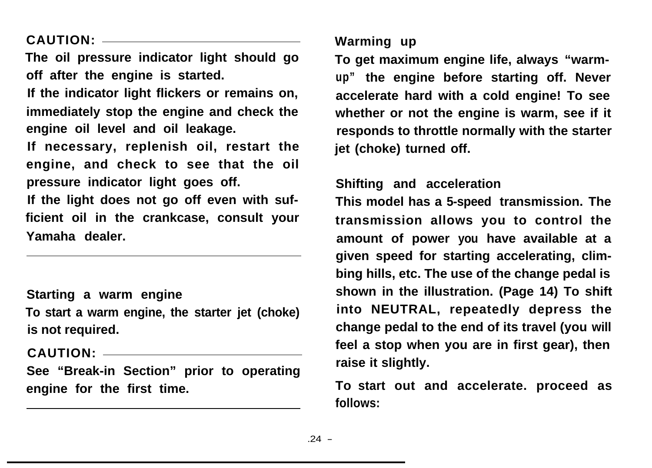**CAUTION:**

**The oil pressure indicator light should go off after the engine is started.**

**If the indicator light flickers or remains on, immediately stop the engine and check the engine oil level and oil leakage.**

**If necessary, replenish oil, restart the engine, and check to see that the oil pressure indicator light goes off.**

**If the light does not go off even with sufficient oil in the crankcase, consult your Yamaha dealer.**

**Starting a warm engine To start a warm engine, the starter jet (choke) is not required.**

**CAUTION:**

**See "Break-in Section" prior to operating engine for the first time.**

**Warming up**

**To get maximum engine life, always "warmup" the engine before starting off. Never accelerate hard with a cold engine! To see whether or not the engine is warm, see if it responds to throttle normally with the starter jet (choke) turned off.**

## **Shifting and acceleration**

**This model has a 5-speed transmission. The transmission allows you to control the amount of power you have available at a given speed for starting accelerating, climbing hills, etc. The use of the change pedal is shown in the illustration. (Page 14) To shift into NEUTRAL, repeatedly depress the change pedal to the end of its travel (you will feel a stop when you are in first gear), then raise it slightly.**

**To start out and accelerate. proceed as follows:**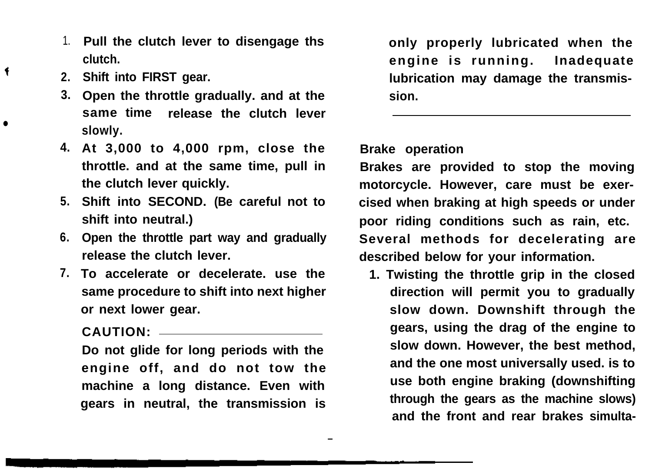- 1. **Pull the clutch lever to disengage ths clutch.**
- **2. Shift into FIRST gear.**

 $\bullet$ 

 $\ddot{\bullet}$ 

- **3. Open the throttle gradually. and at the same time, release the clutch lever slowly.**
- **4. At 3,000 to 4,000 rpm, close the throttle. and at the same time, pull in the clutch lever quickly.**
- **5. Shift into SECOND. (Be careful not to shift into neutral.)**
- **6. Open the throttle part way and gradually release the clutch lever.**
- **7. To accelerate or decelerate. use the same procedure to shift into next higher or next lower gear.**

**CAUTION:**

**Do not glide for long periods with the engine off, and do not tow the machine a long distance. Even with gears in neutral, the transmission is**

**only properly lubricated when the engine is running. Inadequate lubrication may damage the transmission.**

### **Brake operation**

- <sup>25</sup>

**Brakes are provided to stop the moving motorcycle. However, care must be exercised when braking at high speeds or under poor riding conditions such as rain, etc. Several methods for decelerating are described below for your information.**

**1. Twisting the throttle grip in the closed direction will permit you to gradually slow down. Downshift through the gears, using the drag of the engine to slow down. However, the best method, and the one most universally used. is to use both engine braking (downshifting through the gears as the machine slows) and the front and rear brakes simulta-**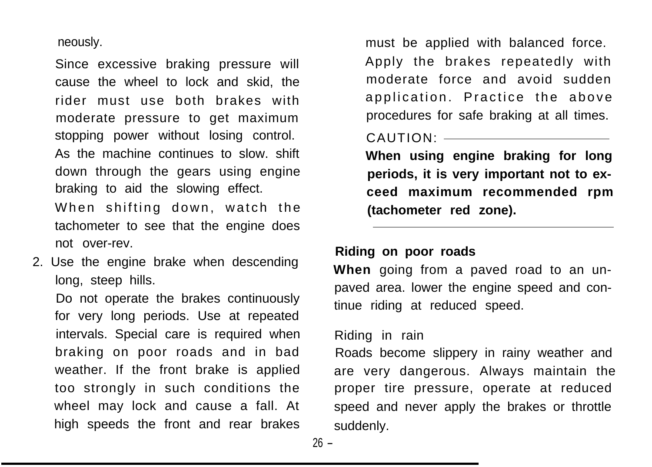neously.

Since excessive braking pressure will cause the wheel to lock and skid, the rider must use both brakes with moderate pressure to get maximum stopping power without losing control. As the machine continues to slow. shift down through the gears using engine braking to aid the slowing effect. When shifting down, watch the tachometer to see that the engine does not over-rev.

2. Use the engine brake when descending long, steep hills.

Do not operate the brakes continuously for very long periods. Use at repeated intervals. Special care is required when braking on poor roads and in bad weather. If the front brake is applied too strongly in such conditions the wheel may lock and cause a fall. At high speeds the front and rear brakes

must be applied with balanced force. Apply the brakes repeatedly with moderate force and avoid sudden application. Practice the above procedures for safe braking at all times.

CAUTION:

**When using engine braking for long periods, it is very important not to exceed maximum recommended rpm (tachometer red zone).**

#### **Riding on poor roads**

**When** going from a paved road to an unpaved area. lower the engine speed and continue riding at reduced speed.

#### Riding in rain

Roads become slippery in rainy weather and are very dangerous. Always maintain the proper tire pressure, operate at reduced speed and never apply the brakes or throttle suddenly.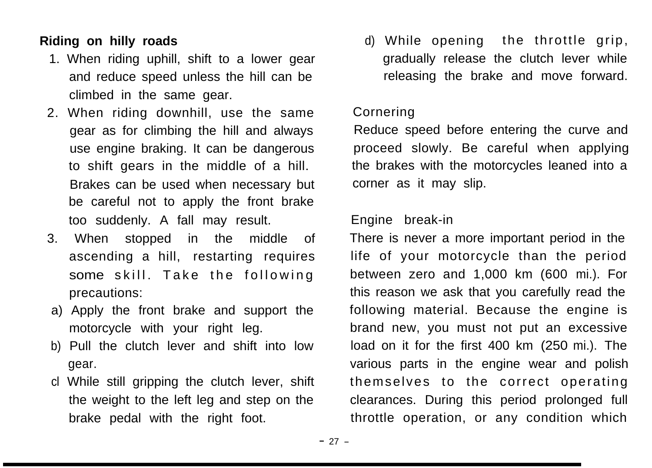## **Riding on hilly roads**

- 1. When riding uphill, shift to a lower gear and reduce speed unless the hill can be climbed in the same gear.
- 2. When riding downhill, use the same gear as for climbing the hill and always use engine braking. It can be dangerous to shift gears in the middle of a hill. Brakes can be used when necessary but be careful not to apply the front brake too suddenly. A fall may result.
- 3. When stopped in the middle of ascending a hill, restarting requires some skill. Take the following precautions:
- a) Apply the front brake and support the motorcycle with your right leg.
- b) Pull the clutch lever and shift into low gear.
- cl While still gripping the clutch lever, shift the weight to the left leg and step on the brake pedal with the right foot.

d) While opening the throttle grip, gradually release the clutch lever while releasing the brake and move forward.

## Cornering

Reduce speed before entering the curve and proceed slowly. Be careful when applying the brakes with the motorcycles leaned into a corner as it may slip.

## Engine break-in

There is never a more important period in the life of your motorcycle than the period between zero and 1,000 km (600 mi.). For this reason we ask that you carefully read the following material. Because the engine is brand new, you must not put an excessive load on it for the first 400 km (250 mi.). The various parts in the engine wear and polish themselves to the correct operating clearances. During this period prolonged full throttle operation, or any condition which